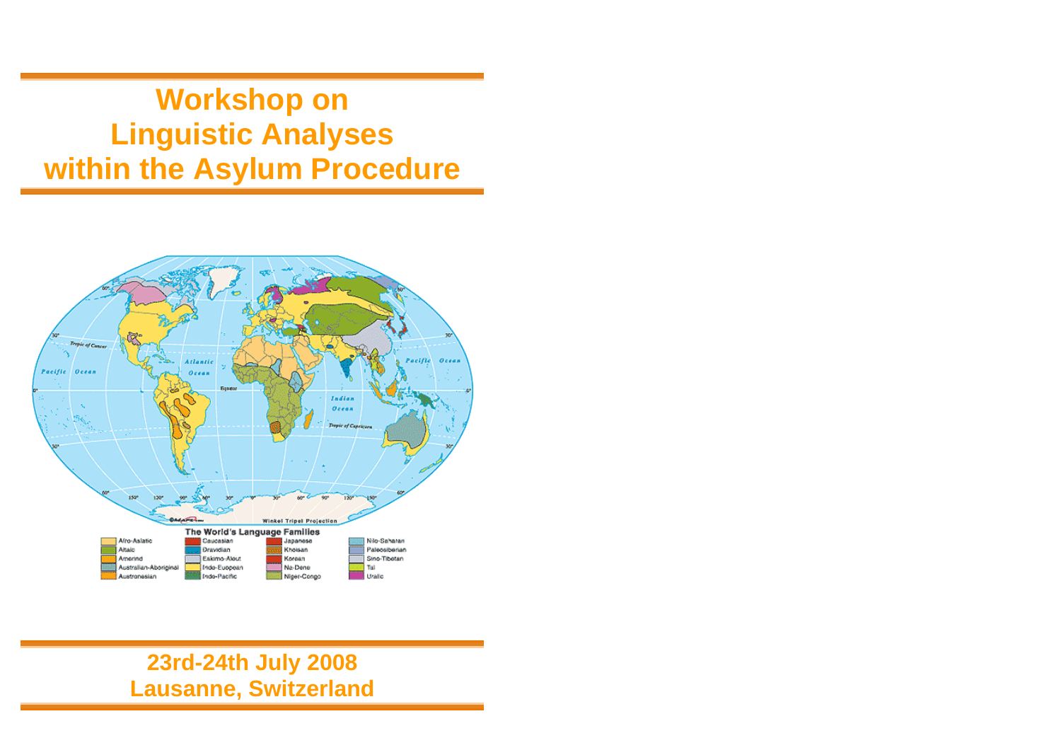**Workshop on Linguistic Analyses within the Asylum Procedure** 



# **23rd-24th July 2008 Lausanne, Switzerland**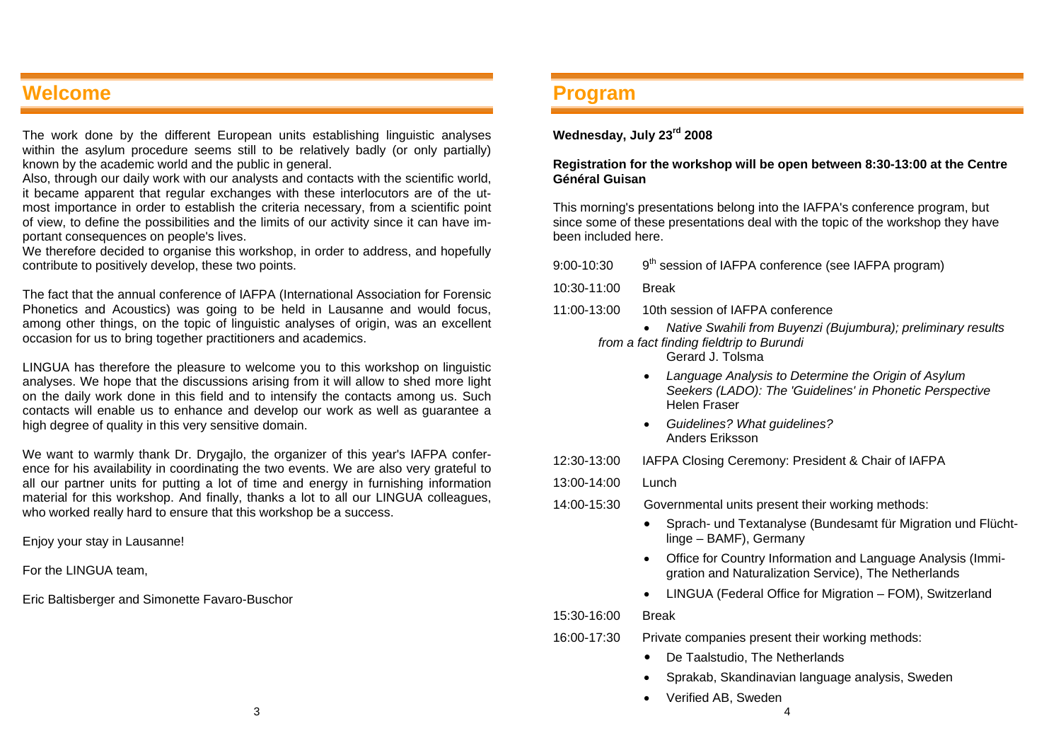# **Welcome**

The work done by the different European units establishing linguistic analyses within the asylum procedure seems still to be relatively badly (or only partially) known by the academic world and the public in general.

Also, through our daily work with our analysts and contacts with the scientific world, it became apparent that regular exchanges with these interlocutors are of the utmost importance in order to establish the criteria necessary, from a scientific point of view, to define the possibilities and the limits of our activity since it can have important consequences on people's lives.

We therefore decided to organise this workshop, in order to address, and hopefully contribute to positively develop, these two points.

The fact that the annual conference of IAFPA (International Association for Forensic Phonetics and Acoustics) was going to be held in Lausanne and would focus, among other things, on the topic of linguistic analyses of origin, was an excellent occasion for us to bring together practitioners and academics.

LINGUA has therefore the pleasure to welcome you to this workshop on linguistic analyses. We hope that the discussions arising from it will allow to shed more light on the daily work done in this field and to intensify the contacts among us. Such contacts will enable us to enhance and develop our work as well as guarantee a high degree of quality in this very sensitive domain.

We want to warmly thank Dr. Drygajlo, the organizer of this year's IAFPA conference for his availability in coordinating the two events. We are also very grateful to all our partner units for putting a lot of time and energy in furnishing information material for this workshop. And finally, thanks a lot to all our LINGUA colleagues, who worked really hard to ensure that this workshop be a success.

Enjoy your stay in Lausanne!

For the LINGUA team,

Eric Baltisberger and Simonette Favaro-Buschor

## **Program**

### **Wednesday, July 23rd 2008**

#### **Registration for the workshop will be open between 8:30-13:00 at the Centre Général Guisan**

This morning's presentations belong into the IAFPA's conference program, but since some of these presentations deal with the topic of the workshop they have been included here.

| 9:00-10:30  | 9 <sup>th</sup> session of IAFPA conference (see IAFPA program)                                                                 |
|-------------|---------------------------------------------------------------------------------------------------------------------------------|
| 10:30-11:00 | <b>Break</b>                                                                                                                    |
| 11:00-13:00 | 10th session of IAFPA conference                                                                                                |
|             | Native Swahili from Buyenzi (Bujumbura); preliminary results<br>from a fact finding fieldtrip to Burundi<br>Gerard J. Tolsma    |
|             | Language Analysis to Determine the Origin of Asylum<br>Seekers (LADO): The 'Guidelines' in Phonetic Perspective<br>Helen Fraser |
|             | Guidelines? What guidelines?<br>Anders Eriksson                                                                                 |
| 12:30-13:00 | IAFPA Closing Ceremony: President & Chair of IAFPA                                                                              |
| 13:00-14:00 | Lunch                                                                                                                           |
| 14:00-15:30 | Governmental units present their working methods:                                                                               |
|             | Sprach- und Textanalyse (Bundesamt für Migration und Flücht-<br>linge - BAMF), Germany                                          |
|             | Office for Country Information and Language Analysis (Immi-<br>٠<br>gration and Naturalization Service), The Netherlands        |
|             | LINGUA (Federal Office for Migration - FOM), Switzerland                                                                        |
| 15:30-16:00 | <b>Break</b>                                                                                                                    |
| 16:00-17:30 | Private companies present their working methods:                                                                                |
|             | De Taalstudio, The Netherlands                                                                                                  |
|             | Sprakab, Skandinavian language analysis, Sweden<br>$\bullet$                                                                    |
|             | Verified AB, Sweden                                                                                                             |
|             | 4                                                                                                                               |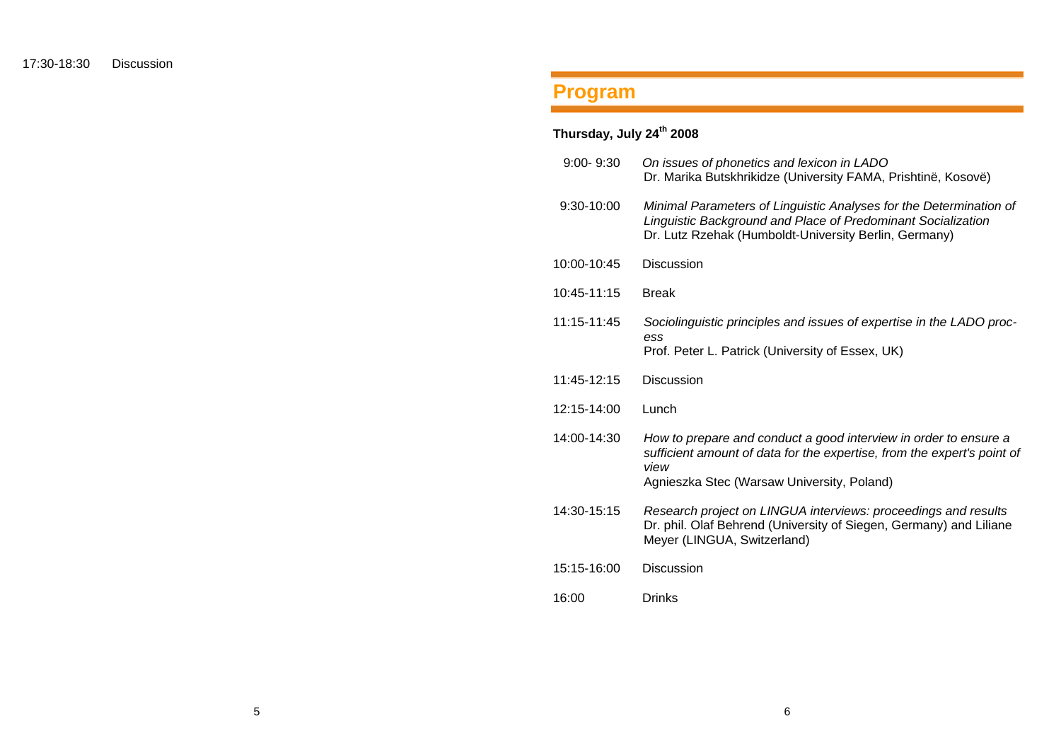# **Program**

# **Thursday, July 24th 2008**

| $9:00 - 9:30$ | On issues of phonetics and lexicon in LADO<br>Dr. Marika Butskhrikidze (University FAMA, Prishtinë, Kosovë)                                                                                       |
|---------------|---------------------------------------------------------------------------------------------------------------------------------------------------------------------------------------------------|
| 9:30-10:00    | Minimal Parameters of Linguistic Analyses for the Determination of<br>Linguistic Background and Place of Predominant Socialization<br>Dr. Lutz Rzehak (Humboldt-University Berlin, Germany)       |
| 10:00-10:45   | <b>Discussion</b>                                                                                                                                                                                 |
| 10:45-11:15   | <b>Break</b>                                                                                                                                                                                      |
| 11:15-11:45   | Sociolinguistic principles and issues of expertise in the LADO proc-                                                                                                                              |
|               | ess<br>Prof. Peter L. Patrick (University of Essex, UK)                                                                                                                                           |
| 11:45-12:15   | <b>Discussion</b>                                                                                                                                                                                 |
| 12:15-14:00   | Lunch                                                                                                                                                                                             |
| 14:00-14:30   | How to prepare and conduct a good interview in order to ensure a<br>sufficient amount of data for the expertise, from the expert's point of<br>view<br>Agnieszka Stec (Warsaw University, Poland) |
| 14:30-15:15   | Research project on LINGUA interviews: proceedings and results<br>Dr. phil. Olaf Behrend (University of Siegen, Germany) and Liliane<br>Meyer (LINGUA, Switzerland)                               |
| 15:15-16:00   | <b>Discussion</b>                                                                                                                                                                                 |
| 16:00         | <b>Drinks</b>                                                                                                                                                                                     |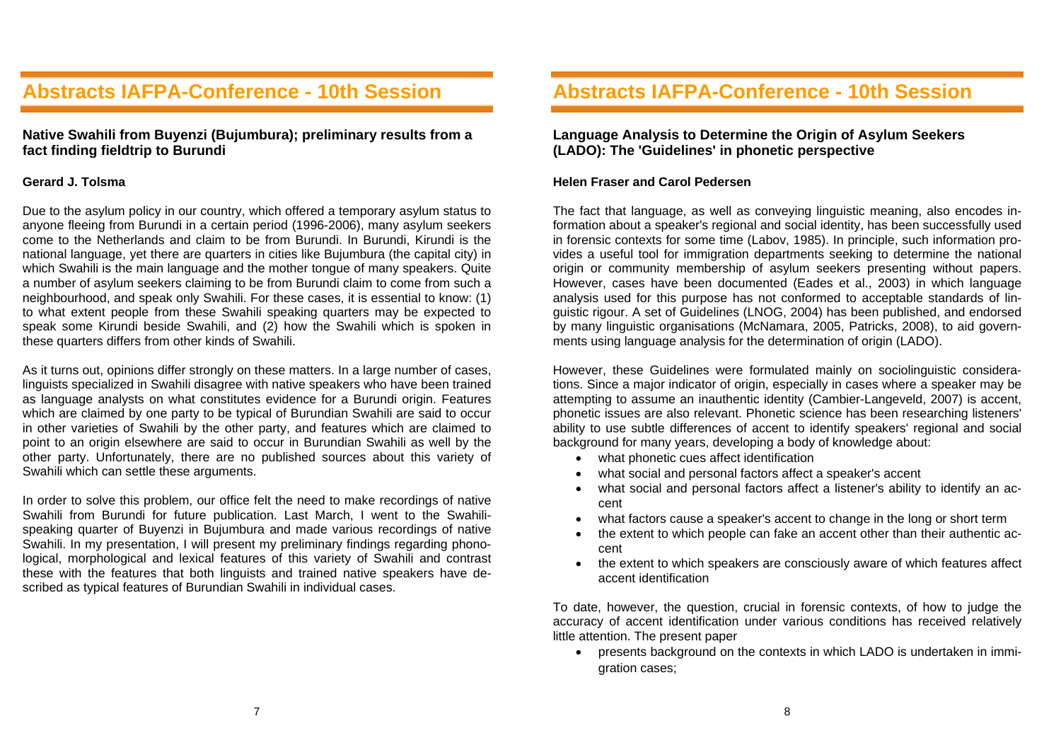# **Abstracts IAFPA-Conference - 10th Session**

### **Native Swahili from Buyenzi (Bujumbura); preliminary results from a fact finding fieldtrip to Burundi**

#### **Gerard J. Tolsma**

Due to the asylum policy in our country, which offered a temporary asylum status to anyone fleeing from Burundi in a certain period (1996-2006), many asylum seekers come to the Netherlands and claim to be from Burundi. In Burundi, Kirundi is the national language, yet there are quarters in cities like Bujumbura (the capital city) in which Swahili is the main language and the mother tongue of many speakers. Quite a number of asylum seekers claiming to be from Burundi claim to come from such a neighbourhood, and speak only Swahili. For these cases, it is essential to know: (1) to what extent people from these Swahili speaking quarters may be expected to speak some Kirundi beside Swahili, and (2) how the Swahili which is spoken in these quarters differs from other kinds of Swahili.

As it turns out, opinions differ strongly on these matters. In a large number of cases, linguists specialized in Swahili disagree with native speakers who have been trained as language analysts on what constitutes evidence for a Burundi origin. Features which are claimed by one party to be typical of Burundian Swahili are said to occur in other varieties of Swahili by the other party, and features which are claimed to point to an origin elsewhere are said to occur in Burundian Swahili as well by the other party. Unfortunately, there are no published sources about this variety of Swahili which can settle these arguments.

In order to solve this problem, our office felt the need to make recordings of native Swahili from Burundi for future publication. Last March, I went to the Swahilispeaking quarter of Buyenzi in Bujumbura and made various recordings of native Swahili. In my presentation, I will present my preliminary findings regarding phonological, morphological and lexical features of this variety of Swahili and contrast these with the features that both linguists and trained native speakers have described as typical features of Burundian Swahili in individual cases.

## **Abstracts IAFPA-Conference - 10th Session**

### **Language Analysis to Determine the Origin of Asylum Seekers (LADO): The 'Guidelines' in phonetic perspective**

#### **Helen Fraser and Carol Pedersen**

The fact that language, as well as conveying linguistic meaning, also encodes information about a speaker's regional and social identity, has been successfully used in forensic contexts for some time (Labov, 1985). In principle, such information provides a useful tool for immigration departments seeking to determine the national origin or community membership of asylum seekers presenting without papers. However, cases have been documented (Eades et al., 2003) in which language analysis used for this purpose has not conformed to acceptable standards of linguistic rigour. A set of Guidelines (LNOG, 2004) has been published, and endorsed by many linguistic organisations (McNamara, 2005, Patricks, 2008), to aid governments using language analysis for the determination of origin (LADO).

However, these Guidelines were formulated mainly on sociolinguistic considerations. Since a major indicator of origin, especially in cases where a speaker may be attempting to assume an inauthentic identity (Cambier-Langeveld, 2007) is accent, phonetic issues are also relevant. Phonetic science has been researching listeners' ability to use subtle differences of accent to identify speakers' regional and social background for many years, developing a body of knowledge about:

- what phonetic cues affect identification
- what social and personal factors affect a speaker's accent
- what social and personal factors affect a listener's ability to identify an accent
- what factors cause a speaker's accent to change in the long or short term
- the extent to which people can fake an accent other than their authentic accent
- the extent to which speakers are consciously aware of which features affect accent identification

To date, however, the question, crucial in forensic contexts, of how to judge the accuracy of accent identification under various conditions has received relatively little attention. The present paper

• presents background on the contexts in which LADO is undertaken in immigration cases;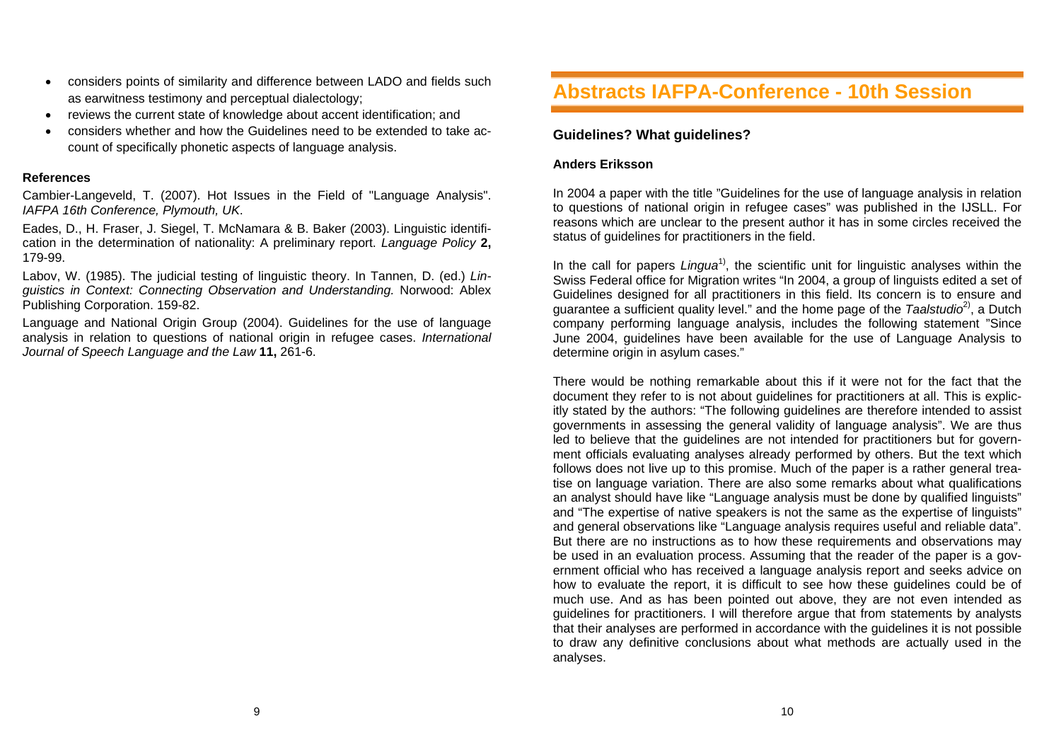- considers points of similarity and difference between LADO and fields such as earwitness testimony and perceptual dialectology;
- reviews the current state of knowledge about accent identification; and
- considers whether and how the Guidelines need to be extended to take account of specifically phonetic aspects of language analysis.

#### **References**

Cambier-Langeveld, T. (2007). Hot Issues in the Field of "Language Analysis". *IAFPA 16th Conference, Plymouth, UK*.

Eades, D., H. Fraser, J. Siegel, T. McNamara & B. Baker (2003). Linguistic identification in the determination of nationality: A preliminary report. *Language Policy* **2,** 179-99.

Labov, W. (1985). The judicial testing of linguistic theory. In Tannen, D. (ed.) *Linguistics in Context: Connecting Observation and Understanding.* Norwood: Ablex Publishing Corporation. 159-82.

Language and National Origin Group (2004). Guidelines for the use of language analysis in relation to questions of national origin in refugee cases. *International Journal of Speech Language and the Law* **11,** 261-6.

# **Abstracts IAFPA-Conference - 10th Session**

### **Guidelines? What guidelines?**

### **Anders Eriksson**

In 2004 a paper with the title "Guidelines for the use of language analysis in relation to questions of national origin in refugee cases" was published in the IJSLL. For reasons which are unclear to the present author it has in some circles received the status of quidelines for practitioners in the field.

In the call for papers *Lingua*<sup>1)</sup>, the scientific unit for linguistic analyses within the Swiss Federal office for Migration writes "In 2004, a group of linguists edited a set of Guidelines designed for all practitioners in this field. Its concern is to ensure and guarantee a sufficient quality level." and the home page of the *Taalstudio*2), a Dutch company performing language analysis, includes the following statement "Since June 2004, guidelines have been available for the use of Language Analysis to determine origin in asylum cases."

There would be nothing remarkable about this if it were not for the fact that the document they refer to is not about guidelines for practitioners at all. This is explicitly stated by the authors: "The following guidelines are therefore intended to assist governments in assessing the general validity of language analysis". We are thus led to believe that the guidelines are not intended for practitioners but for government officials evaluating analyses already performed by others. But the text which follows does not live up to this promise. Much of the paper is a rather general treatise on language variation. There are also some remarks about what qualifications an analyst should have like "Language analysis must be done by qualified linguists" and "The expertise of native speakers is not the same as the expertise of linguists" and general observations like "Language analysis requires useful and reliable data". But there are no instructions as to how these requirements and observations may be used in an evaluation process. Assuming that the reader of the paper is a government official who has received a language analysis report and seeks advice on how to evaluate the report, it is difficult to see how these guidelines could be of much use. And as has been pointed out above, they are not even intended as guidelines for practitioners. I will therefore argue that from statements by analysts that their analyses are performed in accordance with the guidelines it is not possible to draw any definitive conclusions about what methods are actually used in the analyses.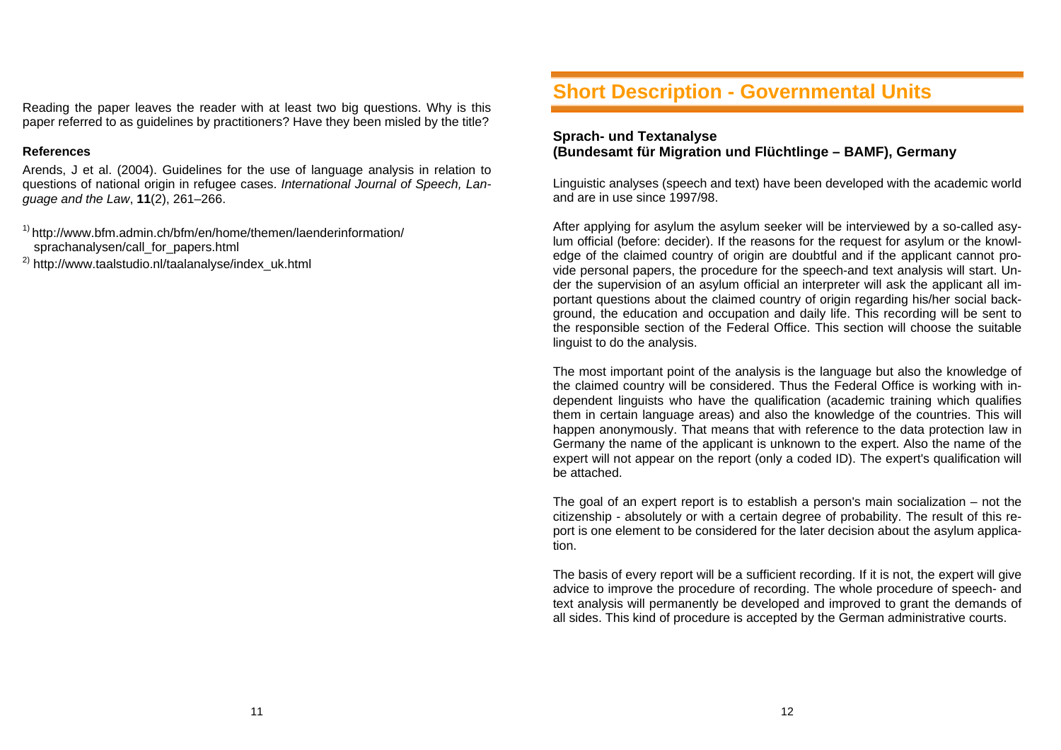Reading the paper leaves the reader with at least two big questions. Why is this paper referred to as guidelines by practitioners? Have they been misled by the title?

#### **References**

Arends, J et al. (2004). Guidelines for the use of language analysis in relation to questions of national origin in refugee cases. *International Journal of Speech, Language and the Law*, **11**(2), 261–266.

 $1)$  http://www.bfm.admin.ch/bfm/en/home/themen/laenderinformation/ sprachanalysen/call for papers.html

2) http://www.taalstudio.nl/taalanalyse/index\_uk.html

# **Short Description - Governmental Units**

### **Sprach- und Textanalyse (Bundesamt für Migration und Flüchtlinge – BAMF), Germany**

Linguistic analyses (speech and text) have been developed with the academic world and are in use since 1997/98.

After applying for asylum the asylum seeker will be interviewed by a so-called asylum official (before: decider). If the reasons for the request for asylum or the knowledge of the claimed country of origin are doubtful and if the applicant cannot provide personal papers, the procedure for the speech-and text analysis will start. Under the supervision of an asylum official an interpreter will ask the applicant all important questions about the claimed country of origin regarding his/her social background, the education and occupation and daily life. This recording will be sent to the responsible section of the Federal Office. This section will choose the suitable linguist to do the analysis.

The most important point of the analysis is the language but also the knowledge of the claimed country will be considered. Thus the Federal Office is working with independent linguists who have the qualification (academic training which qualifies them in certain language areas) and also the knowledge of the countries. This will happen anonymously. That means that with reference to the data protection law in Germany the name of the applicant is unknown to the expert. Also the name of the expert will not appear on the report (only a coded ID). The expert's qualification will be attached.

The goal of an expert report is to establish a person's main socialization – not the citizenship - absolutely or with a certain degree of probability. The result of this report is one element to be considered for the later decision about the asylum application.

The basis of every report will be a sufficient recording. If it is not, the expert will give advice to improve the procedure of recording. The whole procedure of speech- and text analysis will permanently be developed and improved to grant the demands of all sides. This kind of procedure is accepted by the German administrative courts.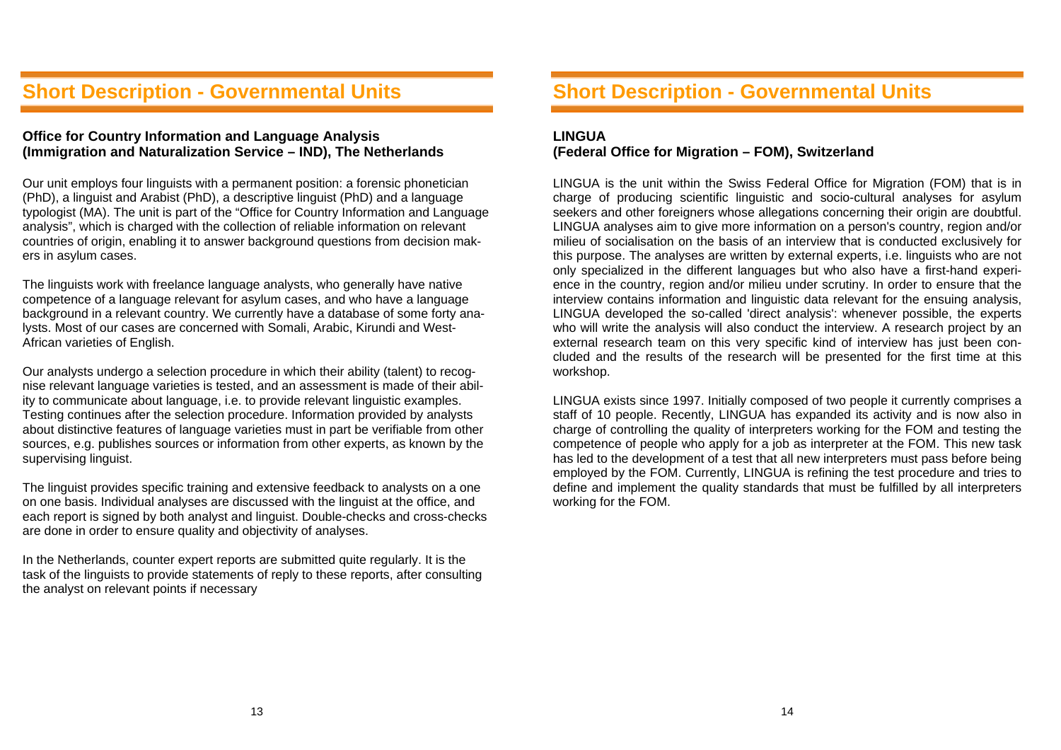# **Short Description - Governmental Units**

### **Office for Country Information and Language Analysis (Immigration and Naturalization Service – IND), The Netherlands**

Our unit employs four linguists with a permanent position: a forensic phonetician (PhD), a linguist and Arabist (PhD), a descriptive linguist (PhD) and a language typologist (MA). The unit is part of the "Office for Country Information and Language analysis", which is charged with the collection of reliable information on relevant countries of origin, enabling it to answer background questions from decision makers in asylum cases.

The linguists work with freelance language analysts, who generally have native competence of a language relevant for asylum cases, and who have a language background in a relevant country. We currently have a database of some forty analysts. Most of our cases are concerned with Somali, Arabic, Kirundi and West-African varieties of English.

Our analysts undergo a selection procedure in which their ability (talent) to recognise relevant language varieties is tested, and an assessment is made of their ability to communicate about language, i.e. to provide relevant linguistic examples. Testing continues after the selection procedure. Information provided by analysts about distinctive features of language varieties must in part be verifiable from other sources, e.g. publishes sources or information from other experts, as known by the supervising linguist.

The linguist provides specific training and extensive feedback to analysts on a one on one basis. Individual analyses are discussed with the linguist at the office, and each report is signed by both analyst and linguist. Double-checks and cross-checks are done in order to ensure quality and objectivity of analyses.

In the Netherlands, counter expert reports are submitted quite regularly. It is the task of the linguists to provide statements of reply to these reports, after consulting the analyst on relevant points if necessary

# **Short Description - Governmental Units**

### **LINGUA (Federal Office for Migration – FOM), Switzerland**

LINGUA is the unit within the Swiss Federal Office for Migration (FOM) that is in charge of producing scientific linguistic and socio-cultural analyses for asylum seekers and other foreigners whose allegations concerning their origin are doubtful. LINGUA analyses aim to give more information on a person's country, region and/or milieu of socialisation on the basis of an interview that is conducted exclusively for this purpose. The analyses are written by external experts, i.e. linguists who are not only specialized in the different languages but who also have a first-hand experience in the country, region and/or milieu under scrutiny. In order to ensure that the interview contains information and linguistic data relevant for the ensuing analysis, LINGUA developed the so-called 'direct analysis': whenever possible, the experts who will write the analysis will also conduct the interview. A research project by an external research team on this very specific kind of interview has just been concluded and the results of the research will be presented for the first time at this workshop.

LINGUA exists since 1997. Initially composed of two people it currently comprises a staff of 10 people. Recently, LINGUA has expanded its activity and is now also in charge of controlling the quality of interpreters working for the FOM and testing the competence of people who apply for a job as interpreter at the FOM. This new task has led to the development of a test that all new interpreters must pass before being employed by the FOM. Currently, LINGUA is refining the test procedure and tries to define and implement the quality standards that must be fulfilled by all interpreters working for the FOM.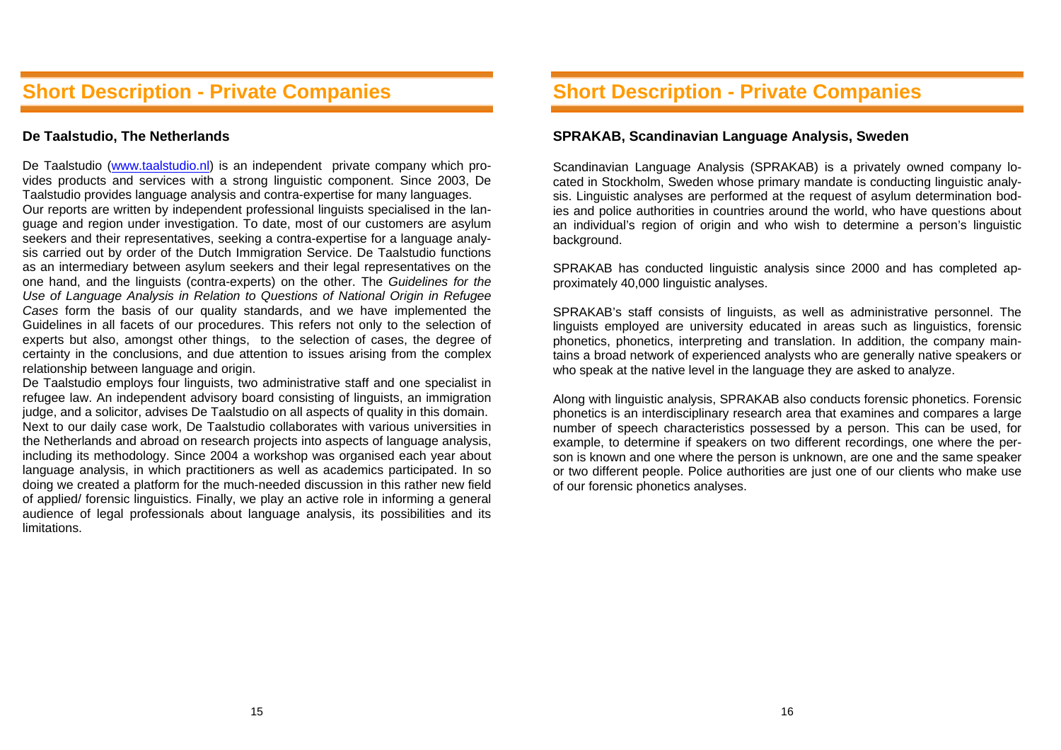## **Short Description - Private Companies**

### **De Taalstudio, The Netherlands**

De Taalstudio (www.taalstudio.nl) is an independent private company which provides products and services with a strong linguistic component. Since 2003, De Taalstudio provides language analysis and contra-expertise for many languages. Our reports are written by independent professional linguists specialised in the language and region under investigation. To date, most of our customers are asylum seekers and their representatives, seeking a contra-expertise for a language analysis carried out by order of the Dutch Immigration Service. De Taalstudio functions as an intermediary between asylum seekers and their legal representatives on the one hand, and the linguists (contra-experts) on the other. The *Guidelines for the Use of Language Analysis in Relation to Questions of National Origin in Refugee Cases* form the basis of our quality standards, and we have implemented the Guidelines in all facets of our procedures. This refers not only to the selection of experts but also, amongst other things, to the selection of cases, the degree of certainty in the conclusions, and due attention to issues arising from the complex relationship between language and origin.

De Taalstudio employs four linguists, two administrative staff and one specialist in refugee law. An independent advisory board consisting of linguists, an immigration judge, and a solicitor, advises De Taalstudio on all aspects of quality in this domain. Next to our daily case work, De Taalstudio collaborates with various universities in the Netherlands and abroad on research projects into aspects of language analysis, including its methodology. Since 2004 a workshop was organised each year about language analysis, in which practitioners as well as academics participated. In so doing we created a platform for the much-needed discussion in this rather new field of applied/ forensic linguistics. Finally, we play an active role in informing a general audience of legal professionals about language analysis, its possibilities and its limitations.

# **Short Description - Private Companies**

#### **SPRAKAB, Scandinavian Language Analysis, Sweden**

Scandinavian Language Analysis (SPRAKAB) is a privately owned company located in Stockholm, Sweden whose primary mandate is conducting linguistic analysis. Linguistic analyses are performed at the request of asylum determination bodies and police authorities in countries around the world, who have questions about an individual's region of origin and who wish to determine a person's linguistic background.

SPRAKAB has conducted linguistic analysis since 2000 and has completed approximately 40,000 linguistic analyses.

SPRAKAB's staff consists of linguists, as well as administrative personnel. The linguists employed are university educated in areas such as linguistics, forensic phonetics, phonetics, interpreting and translation. In addition, the company maintains a broad network of experienced analysts who are generally native speakers or who speak at the native level in the language they are asked to analyze.

Along with linguistic analysis, SPRAKAB also conducts forensic phonetics. Forensic phonetics is an interdisciplinary research area that examines and compares a large number of speech characteristics possessed by a person. This can be used, for example, to determine if speakers on two different recordings, one where the person is known and one where the person is unknown, are one and the same speaker or two different people. Police authorities are just one of our clients who make use of our forensic phonetics analyses.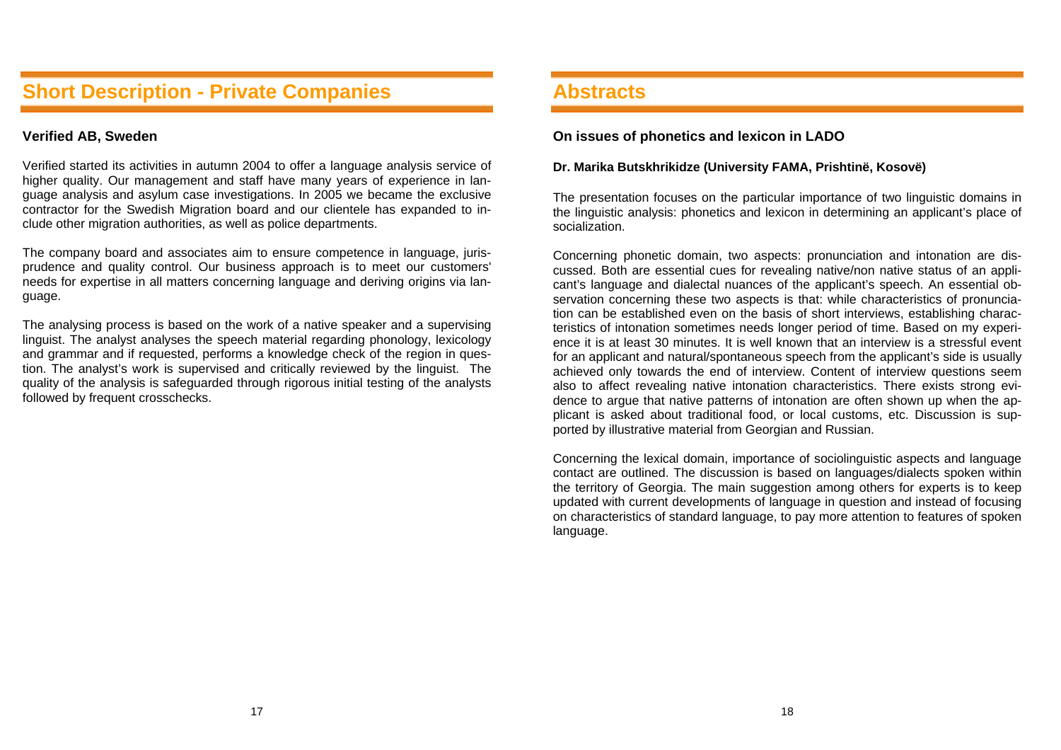## **Short Description - Private Companies**

### **Verified AB, Sweden**

Verified started its activities in autumn 2004 to offer a language analysis service of higher quality. Our management and staff have many years of experience in language analysis and asylum case investigations. In 2005 we became the exclusive contractor for the Swedish Migration board and our clientele has expanded to include other migration authorities, as well as police departments.

The company board and associates aim to ensure competence in language, jurisprudence and quality control. Our business approach is to meet our customers' needs for expertise in all matters concerning language and deriving origins via language.

The analysing process is based on the work of a native speaker and a supervising linguist. The analyst analyses the speech material regarding phonology, lexicology and grammar and if requested, performs a knowledge check of the region in question. The analyst's work is supervised and critically reviewed by the linguist. The quality of the analysis is safeguarded through rigorous initial testing of the analysts followed by frequent crosschecks.

### **Abstracts**

#### **On issues of phonetics and lexicon in LADO**

#### **Dr. Marika Butskhrikidze (University FAMA, Prishtinë, Kosovë)**

The presentation focuses on the particular importance of two linguistic domains in the linguistic analysis: phonetics and lexicon in determining an applicant's place of socialization.

Concerning phonetic domain, two aspects: pronunciation and intonation are discussed. Both are essential cues for revealing native/non native status of an applicant's language and dialectal nuances of the applicant's speech. An essential observation concerning these two aspects is that: while characteristics of pronunciation can be established even on the basis of short interviews, establishing characteristics of intonation sometimes needs longer period of time. Based on my experience it is at least 30 minutes. It is well known that an interview is a stressful event for an applicant and natural/spontaneous speech from the applicant's side is usually achieved only towards the end of interview. Content of interview questions seem also to affect revealing native intonation characteristics. There exists strong evidence to argue that native patterns of intonation are often shown up when the applicant is asked about traditional food, or local customs, etc. Discussion is supported by illustrative material from Georgian and Russian.

Concerning the lexical domain, importance of sociolinguistic aspects and language contact are outlined. The discussion is based on languages/dialects spoken within the territory of Georgia. The main suggestion among others for experts is to keep updated with current developments of language in question and instead of focusing on characteristics of standard language, to pay more attention to features of spoken language.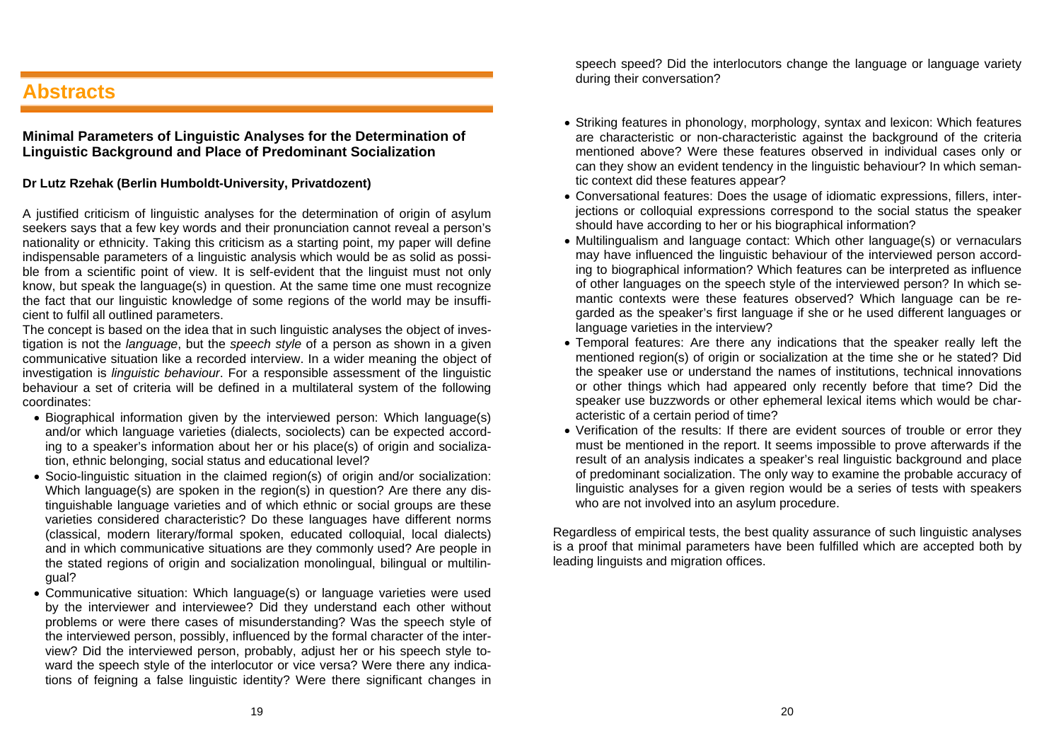# **Abstracts**

### **Minimal Parameters of Linguistic Analyses for the Determination of Linguistic Background and Place of Predominant Socialization**

#### **Dr Lutz Rzehak (Berlin Humboldt-University, Privatdozent)**

A justified criticism of linguistic analyses for the determination of origin of asylum seekers says that a few key words and their pronunciation cannot reveal a person's nationality or ethnicity. Taking this criticism as a starting point, my paper will define indispensable parameters of a linguistic analysis which would be as solid as possible from a scientific point of view. It is self-evident that the linguist must not only know, but speak the language(s) in question. At the same time one must recognize the fact that our linguistic knowledge of some regions of the world may be insufficient to fulfil all outlined parameters.

The concept is based on the idea that in such linguistic analyses the object of investigation is not the *language*, but the *speech style* of a person as shown in a given communicative situation like a recorded interview. In a wider meaning the object of investigation is *linguistic behaviour*. For a responsible assessment of the linguistic behaviour a set of criteria will be defined in a multilateral system of the following coordinates:

- Biographical information given by the interviewed person: Which language(s) and/or which language varieties (dialects, sociolects) can be expected according to a speaker's information about her or his place(s) of origin and socialization, ethnic belonging, social status and educational level?
- Socio-linguistic situation in the claimed region(s) of origin and/or socialization: Which language(s) are spoken in the region(s) in question? Are there any distinguishable language varieties and of which ethnic or social groups are these varieties considered characteristic? Do these languages have different norms (classical, modern literary/formal spoken, educated colloquial, local dialects) and in which communicative situations are they commonly used? Are people in the stated regions of origin and socialization monolingual, bilingual or multilingual?
- Communicative situation: Which language(s) or language varieties were used by the interviewer and interviewee? Did they understand each other without problems or were there cases of misunderstanding? Was the speech style of the interviewed person, possibly, influenced by the formal character of the interview? Did the interviewed person, probably, adjust her or his speech style toward the speech style of the interlocutor or vice versa? Were there any indications of feigning a false linguistic identity? Were there significant changes in

speech speed? Did the interlocutors change the language or language variety during their conversation?

- Striking features in phonology, morphology, syntax and lexicon: Which features are characteristic or non-characteristic against the background of the criteria mentioned above? Were these features observed in individual cases only or can they show an evident tendency in the linguistic behaviour? In which semantic context did these features appear?
- Conversational features: Does the usage of idiomatic expressions, fillers, interjections or colloquial expressions correspond to the social status the speaker should have according to her or his biographical information?
- Multilingualism and language contact: Which other language(s) or vernaculars may have influenced the linguistic behaviour of the interviewed person according to biographical information? Which features can be interpreted as influence of other languages on the speech style of the interviewed person? In which semantic contexts were these features observed? Which language can be regarded as the speaker's first language if she or he used different languages or language varieties in the interview?
- Temporal features: Are there any indications that the speaker really left the mentioned region(s) of origin or socialization at the time she or he stated? Did the speaker use or understand the names of institutions, technical innovations or other things which had appeared only recently before that time? Did the speaker use buzzwords or other ephemeral lexical items which would be characteristic of a certain period of time?
- Verification of the results: If there are evident sources of trouble or error they must be mentioned in the report. It seems impossible to prove afterwards if the result of an analysis indicates a speaker's real linguistic background and place of predominant socialization. The only way to examine the probable accuracy of linguistic analyses for a given region would be a series of tests with speakers who are not involved into an asylum procedure.

Regardless of empirical tests, the best quality assurance of such linguistic analyses is a proof that minimal parameters have been fulfilled which are accepted both by leading linguists and migration offices.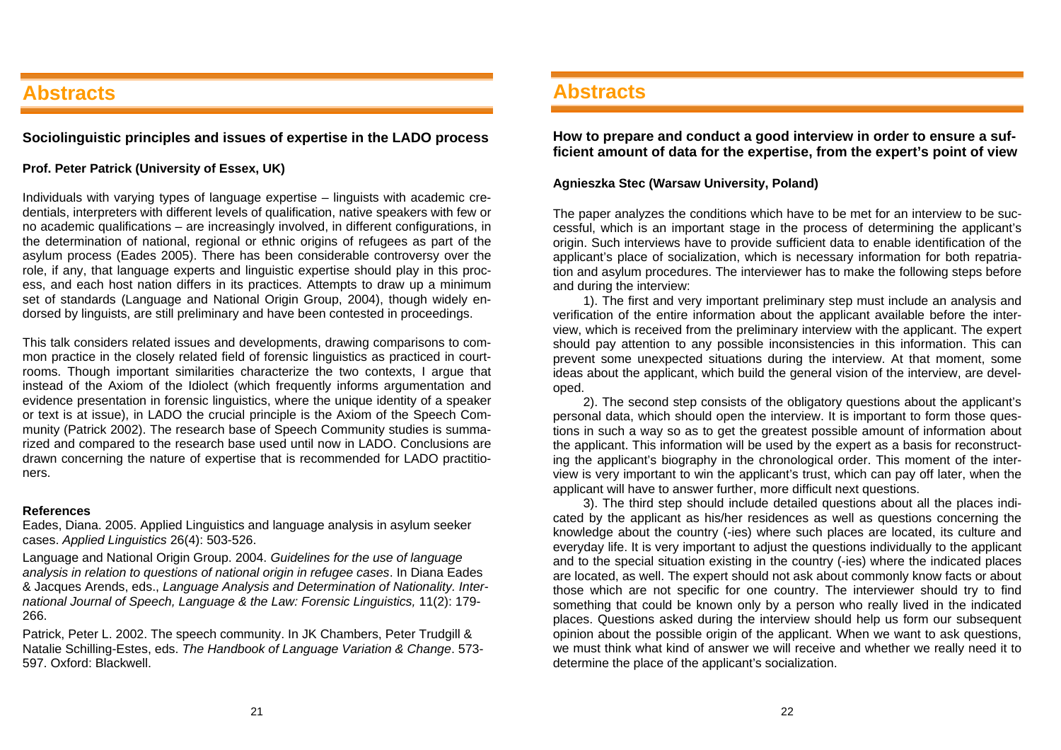# **Abstracts**

**Sociolinguistic principles and issues of expertise in the LADO process** 

### **Prof. Peter Patrick (University of Essex, UK)**

Individuals with varying types of language expertise – linguists with academic credentials, interpreters with different levels of qualification, native speakers with few or no academic qualifications – are increasingly involved, in different configurations, in the determination of national, regional or ethnic origins of refugees as part of the asylum process (Eades 2005). There has been considerable controversy over the role, if any, that language experts and linguistic expertise should play in this process, and each host nation differs in its practices. Attempts to draw up a minimum set of standards (Language and National Origin Group, 2004), though widely endorsed by linguists, are still preliminary and have been contested in proceedings.

This talk considers related issues and developments, drawing comparisons to common practice in the closely related field of forensic linguistics as practiced in courtrooms. Though important similarities characterize the two contexts, I argue that instead of the Axiom of the Idiolect (which frequently informs argumentation and evidence presentation in forensic linguistics, where the unique identity of a speaker or text is at issue), in LADO the crucial principle is the Axiom of the Speech Community (Patrick 2002). The research base of Speech Community studies is summarized and compared to the research base used until now in LADO. Conclusions are drawn concerning the nature of expertise that is recommended for LADO practitioners.

#### **References**

Eades, Diana. 2005. Applied Linguistics and language analysis in asylum seeker cases. *Applied Linguistics* 26(4): 503-526.

Language and National Origin Group. 2004. *Guidelines for the use of language analysis in relation to questions of national origin in refugee cases*. In Diana Eades & Jacques Arends, eds., *Language Analysis and Determination of Nationality. International Journal of Speech, Language & the Law: Forensic Linguistics,* 11(2): 179- 266.

Patrick, Peter L. 2002. The speech community. In JK Chambers, Peter Trudgill & Natalie Schilling-Estes, eds. *The Handbook of Language Variation & Change*. 573- 597. Oxford: Blackwell.

## **Abstracts**

**How to prepare and conduct a good interview in order to ensure a sufficient amount of data for the expertise, from the expert's point of view** 

#### **Agnieszka Stec (Warsaw University, Poland)**

The paper analyzes the conditions which have to be met for an interview to be successful, which is an important stage in the process of determining the applicant's origin. Such interviews have to provide sufficient data to enable identification of the applicant's place of socialization, which is necessary information for both repatriation and asylum procedures. The interviewer has to make the following steps before and during the interview:

1). The first and very important preliminary step must include an analysis and verification of the entire information about the applicant available before the interview, which is received from the preliminary interview with the applicant. The expert should pay attention to any possible inconsistencies in this information. This can prevent some unexpected situations during the interview. At that moment, some ideas about the applicant, which build the general vision of the interview, are developed.

2). The second step consists of the obligatory questions about the applicant's personal data, which should open the interview. It is important to form those questions in such a way so as to get the greatest possible amount of information about the applicant. This information will be used by the expert as a basis for reconstructing the applicant's biography in the chronological order. This moment of the interview is very important to win the applicant's trust, which can pay off later, when the applicant will have to answer further, more difficult next questions.

3). The third step should include detailed questions about all the places indicated by the applicant as his/her residences as well as questions concerning the knowledge about the country (-ies) where such places are located, its culture and everyday life. It is very important to adjust the questions individually to the applicant and to the special situation existing in the country (-ies) where the indicated places are located, as well. The expert should not ask about commonly know facts or about those which are not specific for one country. The interviewer should try to find something that could be known only by a person who really lived in the indicated places. Questions asked during the interview should help us form our subsequent opinion about the possible origin of the applicant. When we want to ask questions, we must think what kind of answer we will receive and whether we really need it to determine the place of the applicant's socialization.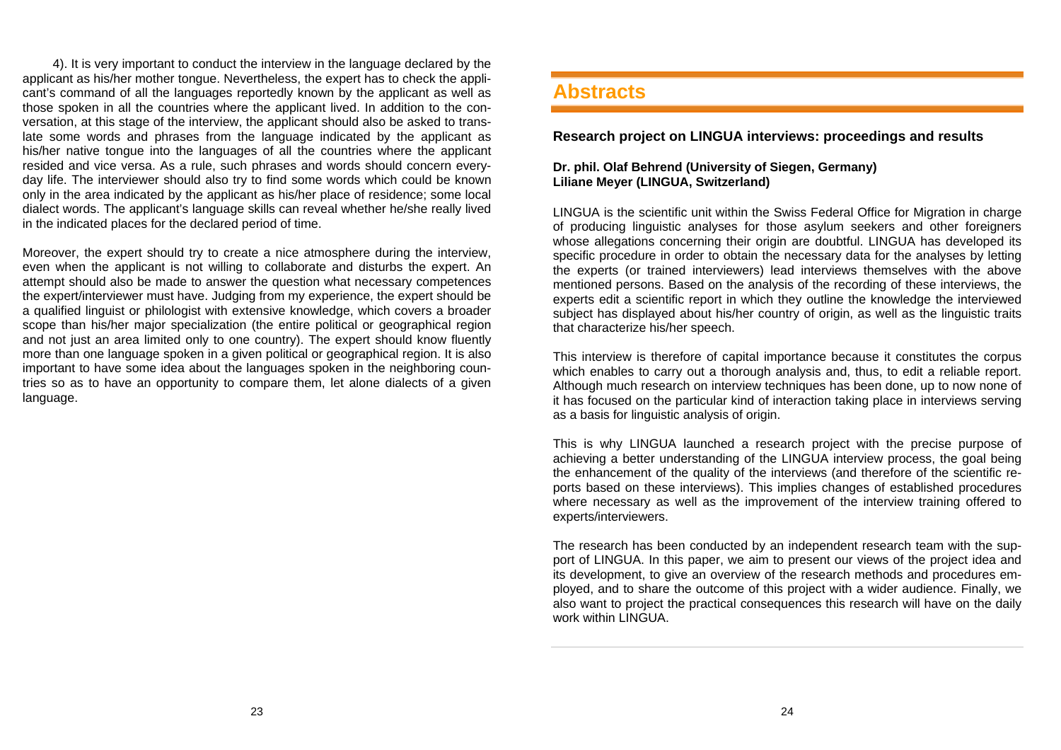4). It is very important to conduct the interview in the language declared by the applicant as his/her mother tongue. Nevertheless, the expert has to check the applicant's command of all the languages reportedly known by the applicant as well as those spoken in all the countries where the applicant lived. In addition to the conversation, at this stage of the interview, the applicant should also be asked to translate some words and phrases from the language indicated by the applicant as his/her native tongue into the languages of all the countries where the applicant resided and vice versa. As a rule, such phrases and words should concern everyday life. The interviewer should also try to find some words which could be known only in the area indicated by the applicant as his/her place of residence; some local dialect words. The applicant's language skills can reveal whether he/she really lived in the indicated places for the declared period of time.

Moreover, the expert should try to create a nice atmosphere during the interview, even when the applicant is not willing to collaborate and disturbs the expert. An attempt should also be made to answer the question what necessary competences the expert/interviewer must have. Judging from my experience, the expert should be a qualified linguist or philologist with extensive knowledge, which covers a broader scope than his/her major specialization (the entire political or geographical region and not just an area limited only to one country). The expert should know fluently more than one language spoken in a given political or geographical region. It is also important to have some idea about the languages spoken in the neighboring countries so as to have an opportunity to compare them, let alone dialects of a given language.

### **Abstracts**

### **Research project on LINGUA interviews: proceedings and results**

#### **Dr. phil. Olaf Behrend (University of Siegen, Germany) Liliane Meyer (LINGUA, Switzerland)**

LINGUA is the scientific unit within the Swiss Federal Office for Migration in charge of producing linguistic analyses for those asylum seekers and other foreigners whose allegations concerning their origin are doubtful. LINGUA has developed its specific procedure in order to obtain the necessary data for the analyses by letting the experts (or trained interviewers) lead interviews themselves with the above mentioned persons. Based on the analysis of the recording of these interviews, the experts edit a scientific report in which they outline the knowledge the interviewed subject has displayed about his/her country of origin, as well as the linguistic traits that characterize his/her speech.

This interview is therefore of capital importance because it constitutes the corpus which enables to carry out a thorough analysis and, thus, to edit a reliable report. Although much research on interview techniques has been done, up to now none of it has focused on the particular kind of interaction taking place in interviews serving as a basis for linguistic analysis of origin.

This is why LINGUA launched a research project with the precise purpose of achieving a better understanding of the LINGUA interview process, the goal being the enhancement of the quality of the interviews (and therefore of the scientific reports based on these interviews). This implies changes of established procedures where necessary as well as the improvement of the interview training offered to experts/interviewers.

The research has been conducted by an independent research team with the support of LINGUA. In this paper, we aim to present our views of the project idea and its development, to give an overview of the research methods and procedures employed, and to share the outcome of this project with a wider audience. Finally, we also want to project the practical consequences this research will have on the daily work within LINGUA.